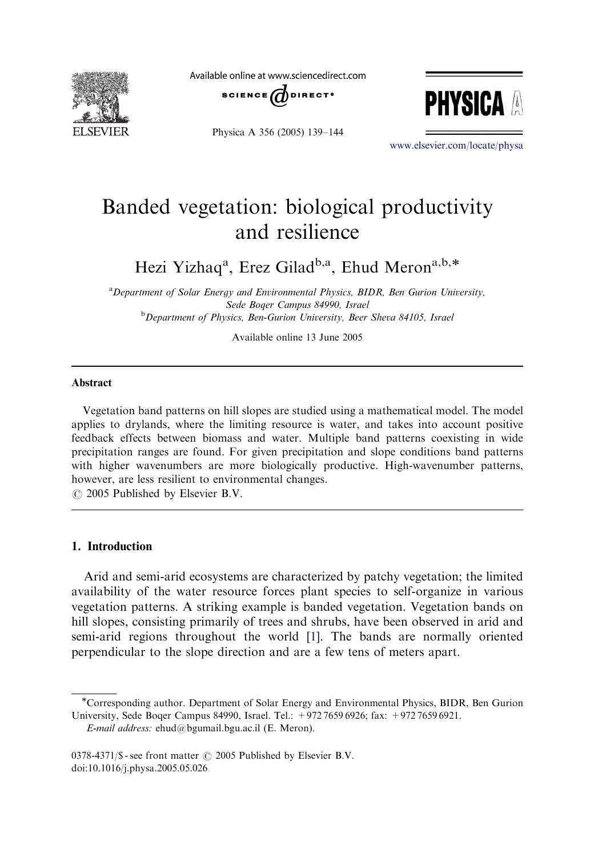

Available online at www.sciencedirect.com





Physica A 356 (2005) 139–144

<www.elsevier.com/locate/physa>

# Banded vegetation: biological productivity and resilience

Hezi Yizhaq<sup>a</sup>, Erez Gilad<sup>b,a</sup>, Ehud Meron<sup>a,b,\*</sup>

<sup>a</sup> Department of Solar Energy and Environmental Physics, BIDR, Ben Gurion University, Sede Boqer Campus 84990, Israel <sup>b</sup>Department of Physics, Ben-Gurion University, Beer Sheva 84105, Israel

Available online 13 June 2005

#### Abstract

Vegetation band patterns on hill slopes are studied using a mathematical model. The model applies to drylands, where the limiting resource is water, and takes into account positive feedback effects between biomass and water. Multiple band patterns coexisting in wide precipitation ranges are found. For given precipitation and slope conditions band patterns with higher wavenumbers are more biologically productive. High-wavenumber patterns, however, are less resilient to environmental changes.

 $\odot$  2005 Published by Elsevier B.V.

# 1. Introduction

Arid and semi-arid ecosystems are characterized by patchy vegetation; the limited availability of the water resource forces plant species to self-organize in various vegetation patterns. A striking example is banded vegetation. Vegetation bands on hill slopes, consisting primarily of trees and shrubs, have been observed in arid and semi-arid regions throughout the world [\[1\].](#page-5-0) The bands are normally oriented perpendicular to the slope direction and are a few tens of meters apart.

E-mail address: ehud@bgumail.bgu.ac.il (E. Meron).

Corresponding author. Department of Solar Energy and Environmental Physics, BIDR, Ben Gurion University, Sede Boqer Campus 84990, Israel. Tel.: +972 7659 6926; fax: +972 7659 6921.

<sup>0378-4371/\$ -</sup> see front matter  $\odot$  2005 Published by Elsevier B.V. doi:10.1016/j.physa.2005.05.026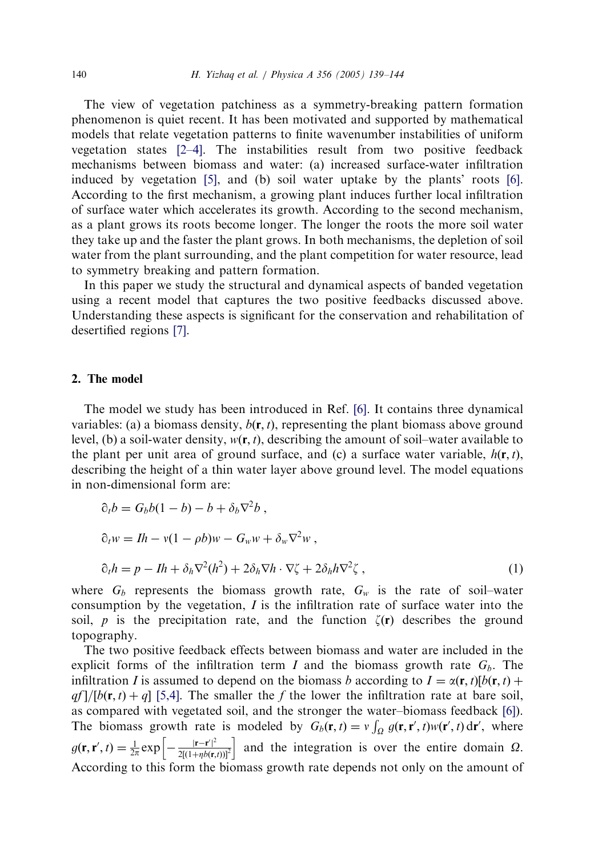The view of vegetation patchiness as a symmetry-breaking pattern formation phenomenon is quiet recent. It has been motivated and supported by mathematical models that relate vegetation patterns to finite wavenumber instabilities of uniform vegetation states [\[2–4\].](#page-5-0) The instabilities result from two positive feedback mechanisms between biomass and water: (a) increased surface-water infiltration induced by vegetation  $[5]$ , and  $(b)$  soil water uptake by the plants' roots  $[6]$ . According to the first mechanism, a growing plant induces further local infiltration of surface water which accelerates its growth. According to the second mechanism, as a plant grows its roots become longer. The longer the roots the more soil water they take up and the faster the plant grows. In both mechanisms, the depletion of soil water from the plant surrounding, and the plant competition for water resource, lead to symmetry breaking and pattern formation.

In this paper we study the structural and dynamical aspects of banded vegetation using a recent model that captures the two positive feedbacks discussed above. Understanding these aspects is significant for the conservation and rehabilitation of desertified regions [\[7\].](#page-5-0)

## 2. The model

The model we study has been introduced in Ref. [\[6\]](#page-5-0). It contains three dynamical variables: (a) a biomass density,  $b(\mathbf{r},t)$ , representing the plant biomass above ground level, (b) a soil-water density,  $w(\mathbf{r}, t)$ , describing the amount of soil–water available to the plant per unit area of ground surface, and (c) a surface water variable,  $h(\mathbf{r}, t)$ , describing the height of a thin water layer above ground level. The model equations in non-dimensional form are:

$$
\partial_t b = G_b b (1 - b) - b + \delta_b \nabla^2 b ,
$$
  
\n
$$
\partial_t w = Ih - v(1 - \rho b) w - G_w w + \delta_w \nabla^2 w ,
$$
  
\n
$$
\partial_t h = p - Ih + \delta_h \nabla^2 (h^2) + 2\delta_h \nabla h \cdot \nabla \zeta + 2\delta_h h \nabla^2 \zeta ,
$$
\n(1)

where  $G_b$  represents the biomass growth rate,  $G_w$  is the rate of soil–water consumption by the vegetation,  $I$  is the infiltration rate of surface water into the soil, p is the precipitation rate, and the function  $\zeta(\mathbf{r})$  describes the ground topography.

The two positive feedback effects between biomass and waterare included in the explicit forms of the infiltration term I and the biomass growth rate  $G_b$ . The infiltration I is assumed to depend on the biomass b according to  $I = \alpha(\mathbf{r},t)[b(\mathbf{r},t) + b(\mathbf{r},t)]$  $qf$  /[b(r, t) + q] [\[5,4\]](#page-5-0). The smaller the f the lower the infiltration rate at bare soil, as compared with vegetated soil, and the stronger the water–biomass feedback [\[6\]](#page-5-0)). The biomass growth rate is modeled by  $G_b(\mathbf{r}, t) = v \int_{\Omega} g(\mathbf{r}, \mathbf{r}', t) w(\mathbf{r}', t) d\mathbf{r}'$ , where  $g(\mathbf{r}, \mathbf{r}', t) = \frac{1}{2\pi} \exp \left[-\frac{|\mathbf{r} - \mathbf{r}'|^2}{2[(1 + nb)\mathbf{r}]} \right]$  $\left[-\frac{|\mathbf{r}-\mathbf{r}'|^2}{2[(1+\eta b(\mathbf{r},t))]^2}\right]$  and the integration is over the entire domain  $\Omega$ . According to this form the biomass growth rate depends not only on the amount of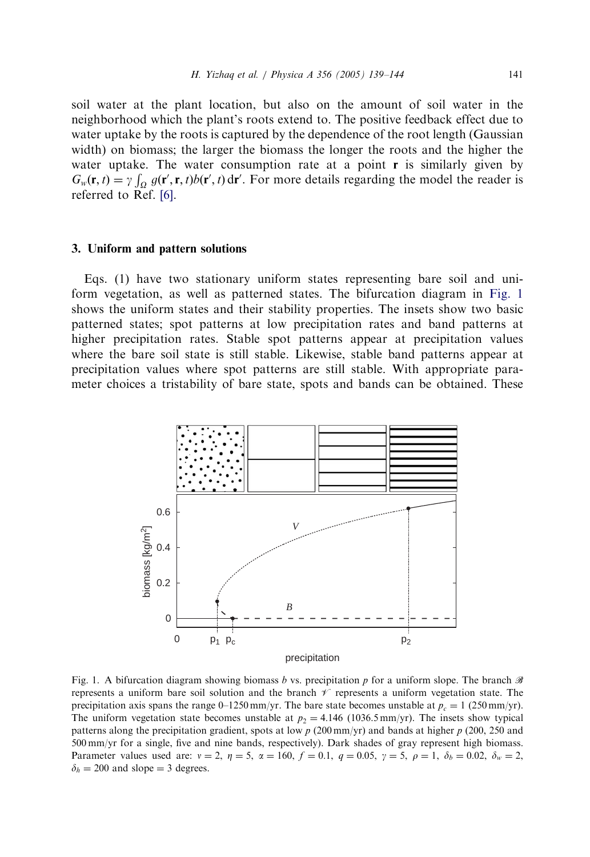<span id="page-2-0"></span>soil water at the plant location, but also on the amount of soil water in the neighborhood which the plant's roots extend to. The positive feedback effect due to water uptake by the roots is captured by the dependence of the root length (Gaussian width) on biomass; the larger the biomass the longer the roots and the higher the water uptake. The water consumption rate at a point  $\bf{r}$  is similarly given by  $G_w(\mathbf{r}, t) = \gamma \int_{\Omega} g(\mathbf{r}', \mathbf{r}, t) b(\mathbf{r}', t) d\mathbf{r}'$ . For more details regarding the model the reader is referred to Ref. [\[6\]](#page-5-0).

#### 3. Uniform and pattern solutions

Eqs. (1) have two stationary uniform states representing bare soil and uniform vegetation, as well as patterned states. The bifurcation diagram in Fig. 1 shows the uniform states and their stability properties. The insets show two basic patterned states; spot patterns at low precipitation rates and band patterns at higher precipitation rates. Stable spot patterns appear at precipitation values where the bare soil state is still stable. Likewise, stable band patterns appear at precipitation values where spot patterns are still stable. With appropriate parameter choices a tristability of bare state, spots and bands can be obtained. These



Fig. 1. A bifurcation diagram showing biomass b vs. precipitation p for a uniform slope. The branch  $\mathscr B$ represents a uniform bare soil solution and the branch  $\mathscr V$  represents a uniform vegetation state. The precipitation axis spans the range 0–1250 mm/yr. The bare state becomes unstable at  $p_c = 1$  (250 mm/yr). The uniform vegetation state becomes unstable at  $p_2 = 4.146$  (1036.5 mm/yr). The insets show typical patterns along the precipitation gradient, spots at low  $p$  (200 mm/yr) and bands at higher  $p$  (200, 250 and 500 mm/yr for a single, five and nine bands, respectively). Dark shades of gray represent high biomass. Parameter values used are:  $v = 2$ ,  $\eta = 5$ ,  $\alpha = 160$ ,  $f = 0.1$ ,  $q = 0.05$ ,  $\gamma = 5$ ,  $\rho = 1$ ,  $\delta_b = 0.02$ ,  $\delta_w = 2$ ,  $\delta_h = 200$  and slope = 3 degrees.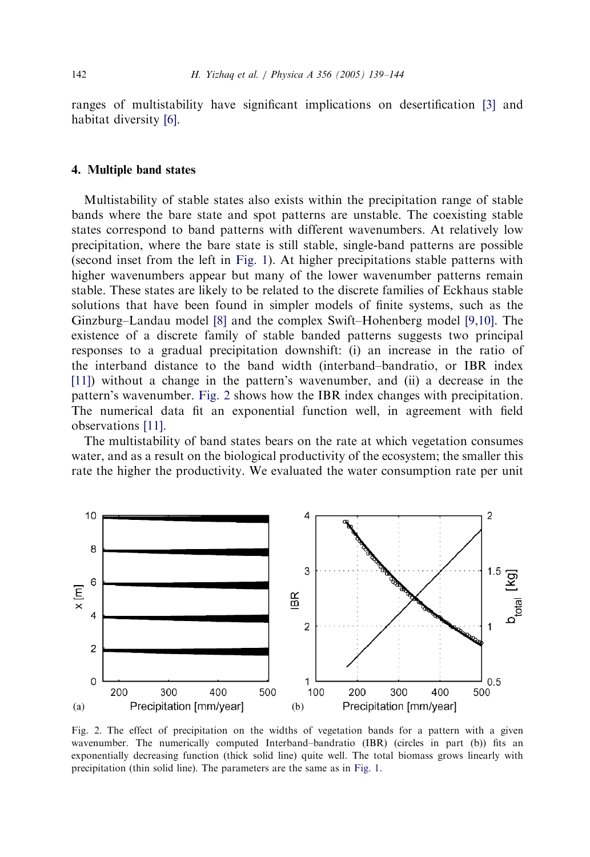ranges of multistability have significant implications on desertification [\[3\]](#page-5-0) and habitat diversity [\[6\]](#page-5-0).

# 4. Multiple band states

Multistability of stable states also exists within the precipitation range of stable bands where the bare state and spot patterns are unstable. The coexisting stable states correspond to band patterns with different wavenumbers. At relatively low precipitation, where the bare state is still stable, single-band patterns are possible (second inset from the left in [Fig. 1\)](#page-2-0). At higher precipitations stable patterns with higher wavenumbers appear but many of the lower wavenumber patterns remain stable. These states are likely to be related to the discrete families of Eckhaus stable solutions that have been found in simplermodels of finite systems, such as the Ginzburg–Landau model [\[8\]](#page-5-0) and the complex Swift–Hohenberg model [\[9,10\]](#page-5-0). The existence of a discrete family of stable banded patterns suggests two principal responses to a gradual precipitation downshift: (i) an increase in the ratio of the interband distance to the band width (interband–bandratio, or IBR index [\[11\]](#page-5-0)) without a change in the pattern's wavenumber, and (ii) a decrease in the pattern's wavenumber. Fig. 2 shows how the IBR index changes with precipitation. The numerical data fit an exponential function well, in agreement with field observations [\[11\]](#page-5-0).

The multistability of band states bears on the rate at which vegetation consumes water, and as a result on the biological productivity of the ecosystem; the smaller this rate the higher the productivity. We evaluated the water consumption rate per unit



Fig. 2. The effect of precipitation on the widths of vegetation bands for a pattern with a given wavenumber. The numerically computed Interband–bandratio (IBR) (circles in part (b)) fits an exponentially decreasing function (thick solid line) quite well. The total biomass grows linearly with precipitation (thin solid line). The parameters are the same as in [Fig. 1](#page-2-0).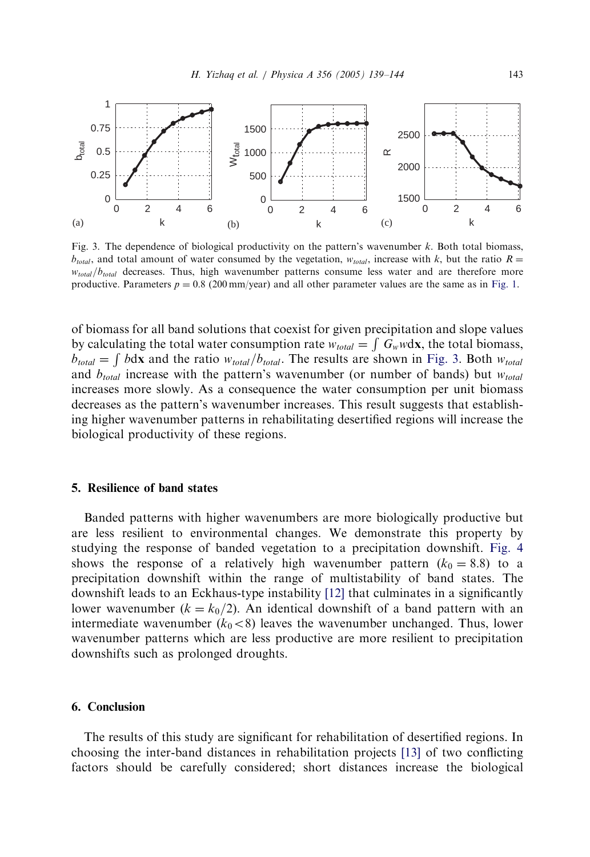

Fig. 3. The dependence of biological productivity on the pattern's wavenumber  $k$ . Both total biomass,  $b_{total}$ , and total amount of water consumed by the vegetation,  $w_{total}$ , increase with k, but the ratio  $R =$  $w_{total}/b_{total}$  decreases. Thus, high wavenumber patterns consume less water and are therefore more productive. Parameters  $p = 0.8$  (200 mm/year) and all other parameter values are the same as in [Fig. 1](#page-2-0).

of biomass forall band solutions that coexist forgiven precipitation and slope values by calculating the total water consumption rate  $w_{total} = \int G_w w dx$ , the total biomass,  $b_{total} = \int b \, dx$  and the ratio  $w_{total}/b_{total}$ . The results are shown in Fig. 3. Both  $w_{total}$ and  $b_{total}$  increase with the pattern's wavenumber (or number of bands) but  $w_{total}$ increases more slowly. As a consequence the water consumption per unit biomass decreases as the pattern's wavenumber increases. This result suggests that establishing higher wavenumber patterns in rehabilitating desertified regions will increase the biological productivity of these regions.

# 5. Resilience of band states

Banded patterns with higher wavenumbers are more biologically productive but are less resilient to environmental changes. We demonstrate this property by studying the response of banded vegetation to a precipitation downshift. [Fig. 4](#page-5-0) shows the response of a relatively high wavenumber pattern  $(k_0 = 8.8)$  to a precipitation downshift within the range of multistability of band states. The downshift leads to an Eckhaus-type instability [\[12\]](#page-5-0) that culminates in a significantly lower wavenumber ( $k = k_0/2$ ). An identical downshift of a band pattern with an intermediate wavenumber ( $k_0 < 8$ ) leaves the wavenumber unchanged. Thus, lower wavenumber patterns which are less productive are more resilient to precipitation downshifts such as prolonged droughts.

## 6. Conclusion

The results of this study are significant for rehabilitation of desertified regions. In choosing the inter-band distances in rehabilitation projects [\[13\]](#page-5-0) of two conflicting factors should be carefully considered; short distances increase the biological